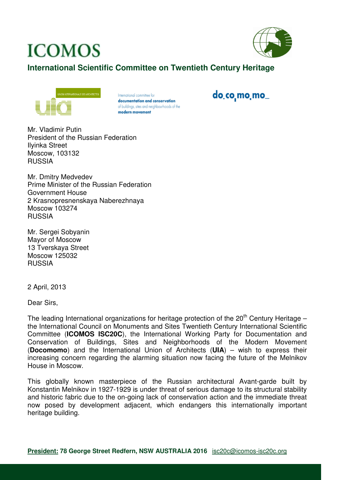## **ICOMOS**



## **International Scientific Committee on Twentieth Century Heritage**



International committee for documentation and conservation of buildings, sites and neighbourhoods of the modern movement

do co mo mo

Mr. Vladimir Putin President of the Russian Federation Ilyinka Street Moscow, 103132 RUSSIA

Mr. Dmitry Medvedev Prime Minister of the Russian Federation Government House 2 Krasnopresnenskaya Naberezhnaya Moscow 103274 RUSSIA

Mr. Sergei Sobyanin Mayor of Moscow 13 Tverskaya Street Moscow 125032 RUSSIA

2 April, 2013

Dear Sirs,

The leading International organizations for heritage protection of the  $20<sup>th</sup>$  Century Heritage – the International Council on Monuments and Sites Twentieth Century International Scientific Committee (**ICOMOS ISC20C**), the International Working Party for Documentation and Conservation of Buildings, Sites and Neighborhoods of the Modern Movement (**Docomomo**) and the International Union of Architects (**UIA**) – wish to express their increasing concern regarding the alarming situation now facing the future of the Melnikov House in Moscow.

This globally known masterpiece of the Russian architectural Avant-garde built by Konstantin Melnikov in 1927-1929 is under threat of serious damage to its structural stability and historic fabric due to the on-going lack of conservation action and the immediate threat now posed by development adjacent, which endangers this internationally important heritage building.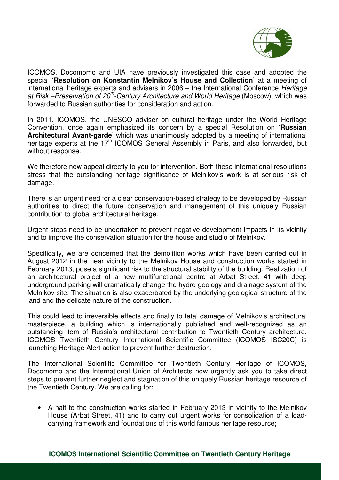

ICOMOS, Docomomo and UIA have previously investigated this case and adopted the special **'Resolution on Konstantin Melnikov's House and Collection'** at a meeting of international heritage experts and advisers in 2006 – the International Conference Heritage at Risk –Preservation of 20<sup>th</sup>-Century Architecture and World Heritage (Moscow), which was forwarded to Russian authorities for consideration and action.

In 2011, ICOMOS, the UNESCO adviser on cultural heritage under the World Heritage Convention, once again emphasized its concern by a special Resolution on '**Russian Architectural Avant-garde**' which was unanimously adopted by a meeting of international heritage experts at the 17<sup>th</sup> ICOMOS General Assembly in Paris, and also forwarded, but without response.

We therefore now appeal directly to you for intervention. Both these international resolutions stress that the outstanding heritage significance of Melnikov's work is at serious risk of damage.

There is an urgent need for a clear conservation-based strategy to be developed by Russian authorities to direct the future conservation and management of this uniquely Russian contribution to global architectural heritage.

Urgent steps need to be undertaken to prevent negative development impacts in its vicinity and to improve the conservation situation for the house and studio of Melnikov.

Specifically, we are concerned that the demolition works which have been carried out in August 2012 in the near vicinity to the Melnikov House and construction works started in February 2013, pose a significant risk to the structural stability of the building. Realization of an architectural project of a new multifunctional centre at Arbat Street, 41 with deep underground parking will dramatically change the hydro-geology and drainage system of the Melnikov site. The situation is also exacerbated by the underlying geological structure of the land and the delicate nature of the construction.

This could lead to irreversible effects and finally to fatal damage of Melnikov's architectural masterpiece, a building which is internationally published and well-recognized as an outstanding item of Russia's architectural contribution to Twentieth Century architecture. ICOMOS Twentieth Century International Scientific Committee (ICOMOS ISC20C) is launching Heritage Alert action to prevent further destruction.

The International Scientific Committee for Twentieth Century Heritage of ICOMOS, Docomomo and the International Union of Architects now urgently ask you to take direct steps to prevent further neglect and stagnation of this uniquely Russian heritage resource of the Twentieth Century. We are calling for:

• A halt to the construction works started in February 2013 in vicinity to the Melnikov House (Arbat Street, 41) and to carry out urgent works for consolidation of a loadcarrying framework and foundations of this world famous heritage resource;